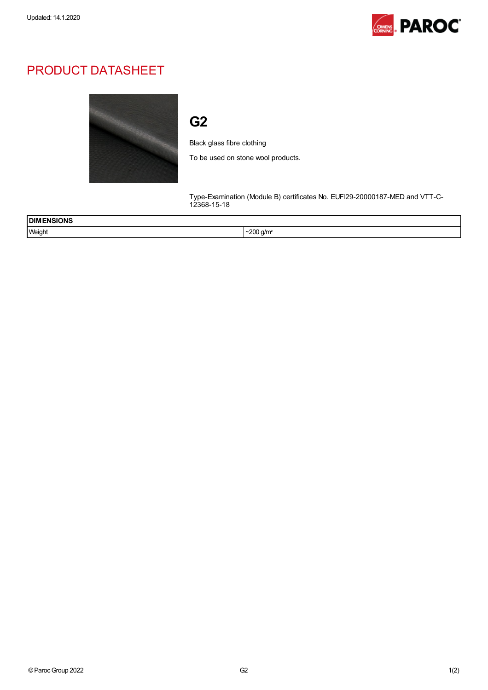

## PRODUCT DATASHEET



## G2

Black glass fibre clothing

To be used on stone wool products.

Type-Examination (Module B) certificates No. EUFI29-20000187-MED and VTT-C-12368-15-18

| ENSIONS<br><b>DIME</b><br>____ |                |
|--------------------------------|----------------|
| Weight                         | <u>ാ∪0 q/m</u> |